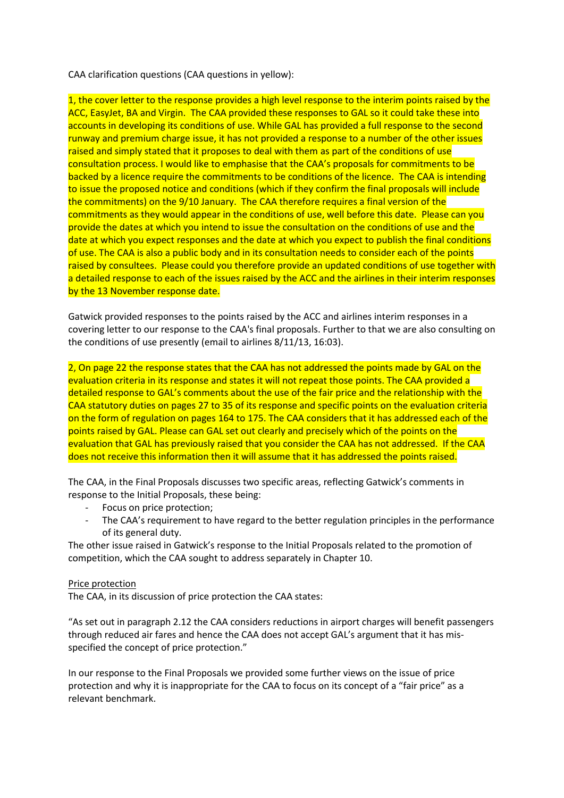CAA clarification questions (CAA questions in yellow):

1, the cover letter to the response provides a high level response to the interim points raised by the ACC, EasyJet, BA and Virgin. The CAA provided these responses to GAL so it could take these into accounts in developing its conditions of use. While GAL has provided a full response to the second runway and premium charge issue, it has not provided a response to a number of the other issues raised and simply stated that it proposes to deal with them as part of the conditions of use consultation process. I would like to emphasise that the CAA's proposals for commitments to be backed by a licence require the commitments to be conditions of the licence. The CAA is intending to issue the proposed notice and conditions (which if they confirm the final proposals will include the commitments) on the 9/10 January. The CAA therefore requires a final version of the commitments as they would appear in the conditions of use, well before this date. Please can you provide the dates at which you intend to issue the consultation on the conditions of use and the date at which you expect responses and the date at which you expect to publish the final conditions of use. The CAA is also a public body and in its consultation needs to consider each of the points raised by consultees. Please could you therefore provide an updated conditions of use together with a detailed response to each of the issues raised by the ACC and the airlines in their interim responses by the 13 November response date.

Gatwick provided responses to the points raised by the ACC and airlines interim responses in a covering letter to our response to the CAA's final proposals. Further to that we are also consulting on the conditions of use presently (email to airlines 8/11/13, 16:03).

2, On page 22 the response states that the CAA has not addressed the points made by GAL on the evaluation criteria in its response and states it will not repeat those points. The CAA provided a detailed response to GAL's comments about the use of the fair price and the relationship with the CAA statutory duties on pages 27 to 35 of its response and specific points on the evaluation criteria on the form of regulation on pages 164 to 175. The CAA considers that it has addressed each of the points raised by GAL. Please can GAL set out clearly and precisely which of the points on the evaluation that GAL has previously raised that you consider the CAA has not addressed. If the CAA does not receive this information then it will assume that it has addressed the points raised.

The CAA, in the Final Proposals discusses two specific areas, reflecting Gatwick's comments in response to the Initial Proposals, these being:

- Focus on price protection;
- The CAA's requirement to have regard to the better regulation principles in the performance of its general duty.

The other issue raised in Gatwick's response to the Initial Proposals related to the promotion of competition, which the CAA sought to address separately in Chapter 10.

## Price protection

The CAA, in its discussion of price protection the CAA states:

"As set out in paragraph 2.12 the CAA considers reductions in airport charges will benefit passengers through reduced air fares and hence the CAA does not accept GAL's argument that it has misspecified the concept of price protection."

In our response to the Final Proposals we provided some further views on the issue of price protection and why it is inappropriate for the CAA to focus on its concept of a "fair price" as a relevant benchmark.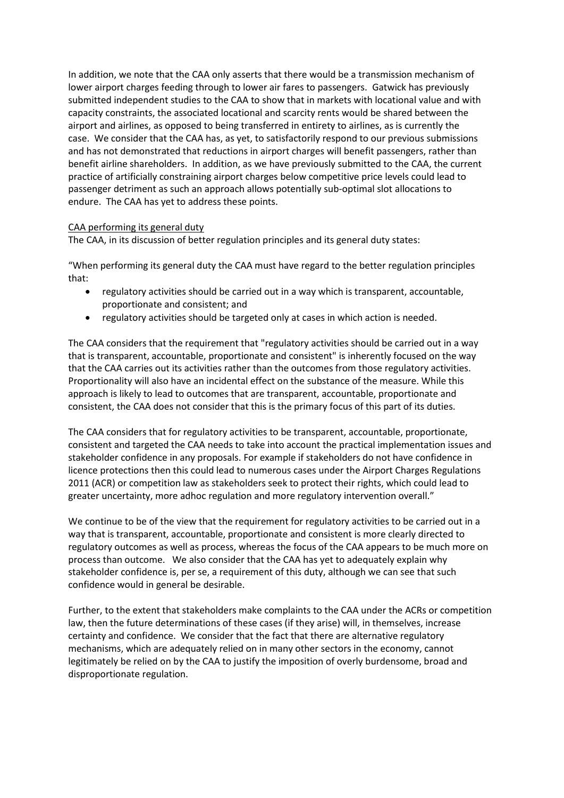In addition, we note that the CAA only asserts that there would be a transmission mechanism of lower airport charges feeding through to lower air fares to passengers. Gatwick has previously submitted independent studies to the CAA to show that in markets with locational value and with capacity constraints, the associated locational and scarcity rents would be shared between the airport and airlines, as opposed to being transferred in entirety to airlines, as is currently the case. We consider that the CAA has, as yet, to satisfactorily respond to our previous submissions and has not demonstrated that reductions in airport charges will benefit passengers, rather than benefit airline shareholders. In addition, as we have previously submitted to the CAA, the current practice of artificially constraining airport charges below competitive price levels could lead to passenger detriment as such an approach allows potentially sub-optimal slot allocations to endure. The CAA has yet to address these points.

## CAA performing its general duty

The CAA, in its discussion of better regulation principles and its general duty states:

"When performing its general duty the CAA must have regard to the better regulation principles that:

- regulatory activities should be carried out in a way which is transparent, accountable, proportionate and consistent; and
- regulatory activities should be targeted only at cases in which action is needed.

The CAA considers that the requirement that "regulatory activities should be carried out in a way that is transparent, accountable, proportionate and consistent" is inherently focused on the way that the CAA carries out its activities rather than the outcomes from those regulatory activities. Proportionality will also have an incidental effect on the substance of the measure. While this approach is likely to lead to outcomes that are transparent, accountable, proportionate and consistent, the CAA does not consider that this is the primary focus of this part of its duties.

The CAA considers that for regulatory activities to be transparent, accountable, proportionate, consistent and targeted the CAA needs to take into account the practical implementation issues and stakeholder confidence in any proposals. For example if stakeholders do not have confidence in licence protections then this could lead to numerous cases under the Airport Charges Regulations 2011 (ACR) or competition law as stakeholders seek to protect their rights, which could lead to greater uncertainty, more adhoc regulation and more regulatory intervention overall."

We continue to be of the view that the requirement for regulatory activities to be carried out in a way that is transparent, accountable, proportionate and consistent is more clearly directed to regulatory outcomes as well as process, whereas the focus of the CAA appears to be much more on process than outcome. We also consider that the CAA has yet to adequately explain why stakeholder confidence is, per se, a requirement of this duty, although we can see that such confidence would in general be desirable.

Further, to the extent that stakeholders make complaints to the CAA under the ACRs or competition law, then the future determinations of these cases (if they arise) will, in themselves, increase certainty and confidence. We consider that the fact that there are alternative regulatory mechanisms, which are adequately relied on in many other sectors in the economy, cannot legitimately be relied on by the CAA to justify the imposition of overly burdensome, broad and disproportionate regulation.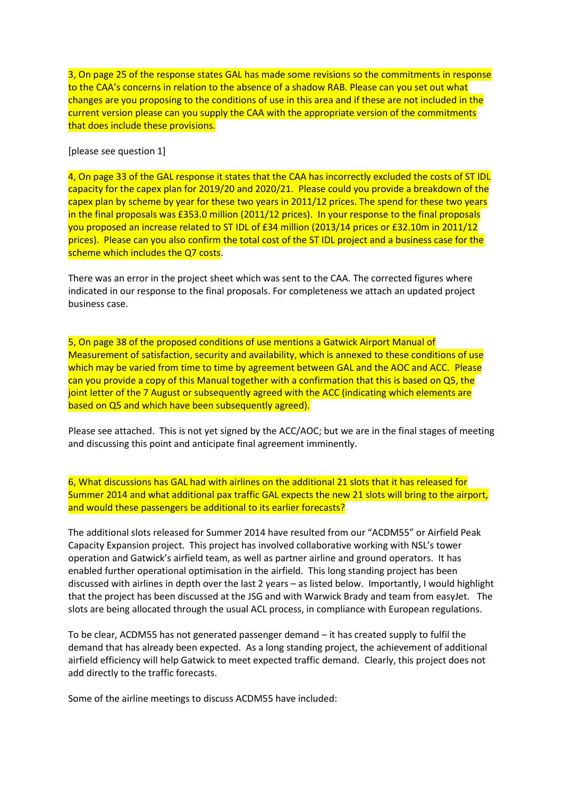3, On page 25 of the response states GAL has made some revisions so the commitments in response to the CAA's concerns in relation to the absence of a shadow RAB. Please can you set out what changes are you proposing to the conditions of use in this area and if these are not included in the current version please can you supply the CAA with the appropriate version of the commitments that does include these provisions.

[please see question 1]

4, On page 33 of the GAL response it states that the CAA has incorrectly excluded the costs of ST IDL capacity for the capex plan for 2019/20 and 2020/21. Please could you provide a breakdown of the capex plan by scheme by year for these two years in 2011/12 prices. The spend for these two years in the final proposals was £353.0 million (2011/12 prices). In your response to the final proposals you proposed an increase related to ST IDL of £34 million (2013/14 prices or £32.10m in 2011/12 prices). Please can you also confirm the total cost of the ST IDL project and a business case for the scheme which includes the Q7 costs.

There was an error in the project sheet which was sent to the CAA. The corrected figures where indicated in our response to the final proposals. For completeness we attach an updated project business case.

5, On page 38 of the proposed conditions of use mentions a Gatwick Airport Manual of Measurement of satisfaction, security and availability, which is annexed to these conditions of use which may be varied from time to time by agreement between GAL and the AOC and ACC. Please can you provide a copy of this Manual together with a confirmation that this is based on Q5, the joint letter of the 7 August or subsequently agreed with the ACC (indicating which elements are based on Q5 and which have been subsequently agreed).

Please see attached. This is not yet signed by the ACC/AOC; but we are in the final stages of meeting and discussing this point and anticipate final agreement imminently.

6, What discussions has GAL had with airlines on the additional 21 slots that it has released for Summer 2014 and what additional pax traffic GAL expects the new 21 slots will bring to the airport, and would these passengers be additional to its earlier forecasts?

The additional slots released for Summer 2014 have resulted from our "ACDM55" or Airfield Peak Capacity Expansion project. This project has involved collaborative working with NSL's tower operation and Gatwick's airfield team, as well as partner airline and ground operators. It has enabled further operational optimisation in the airfield. This long standing project has been discussed with airlines in depth over the last 2 years – as listed below. Importantly, I would highlight that the project has been discussed at the JSG and with Warwick Brady and team from easyJet. The slots are being allocated through the usual ACL process, in compliance with European regulations.

To be clear, ACDM55 has not generated passenger demand – it has created supply to fulfil the demand that has already been expected. As a long standing project, the achievement of additional airfield efficiency will help Gatwick to meet expected traffic demand. Clearly, this project does not add directly to the traffic forecasts.

Some of the airline meetings to discuss ACDM55 have included: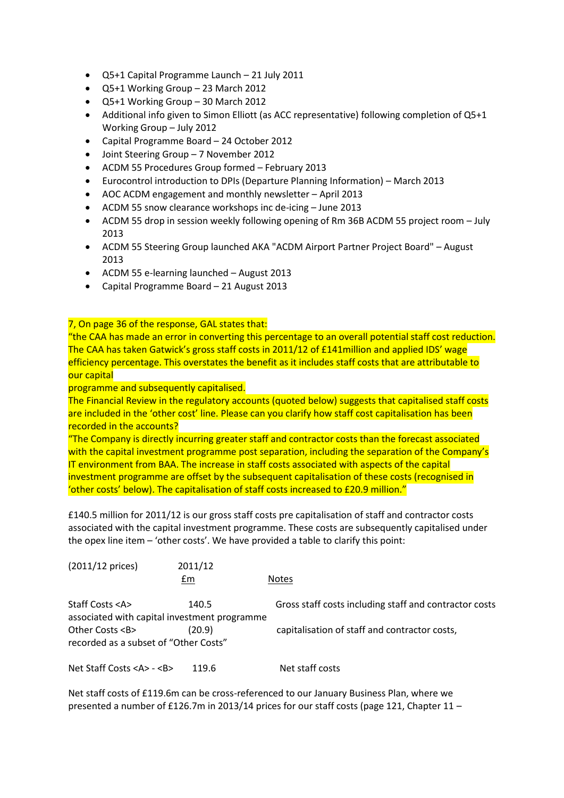- Q5+1 Capital Programme Launch 21 July 2011
- Q5+1 Working Group 23 March 2012
- Q5+1 Working Group 30 March 2012
- Additional info given to Simon Elliott (as ACC representative) following completion of Q5+1 Working Group – July 2012
- Capital Programme Board 24 October 2012
- Joint Steering Group 7 November 2012
- ACDM 55 Procedures Group formed February 2013
- Eurocontrol introduction to DPIs (Departure Planning Information) March 2013
- AOC ACDM engagement and monthly newsletter April 2013
- ACDM 55 snow clearance workshops inc de-icing June 2013
- ACDM 55 drop in session weekly following opening of Rm 36B ACDM 55 project room July 2013
- ACDM 55 Steering Group launched AKA "ACDM Airport Partner Project Board" August 2013
- ACDM 55 e-learning launched August 2013
- Capital Programme Board 21 August 2013

7, On page 36 of the response, GAL states that:

"the CAA has made an error in converting this percentage to an overall potential staff cost reduction. The CAA has taken Gatwick's gross staff costs in 2011/12 of £141million and applied IDS' wage efficiency percentage. This overstates the benefit as it includes staff costs that are attributable to our capital

programme and subsequently capitalised.

The Financial Review in the regulatory accounts (quoted below) suggests that capitalised staff costs are included in the 'other cost' line. Please can you clarify how staff cost capitalisation has been recorded in the accounts?

"The Company is directly incurring greater staff and contractor costs than the forecast associated with the capital investment programme post separation, including the separation of the Company's IT environment from BAA. The increase in staff costs associated with aspects of the capital investment programme are offset by the subsequent capitalisation of these costs (recognised in 'other costs' below). The capitalisation of staff costs increased to £20.9 million."

£140.5 million for 2011/12 is our gross staff costs pre capitalisation of staff and contractor costs associated with the capital investment programme. These costs are subsequently capitalised under the opex line item – 'other costs'. We have provided a table to clarify this point:

| $(2011/12 \text{ prices})$                                           | 2011/12<br>£m | <b>Notes</b>                                           |
|----------------------------------------------------------------------|---------------|--------------------------------------------------------|
| Staff Costs <a><br/>associated with capital investment programme</a> | 140.5         | Gross staff costs including staff and contractor costs |
| Other Costs <b><br/>recorded as a subset of "Other Costs"</b>        | (20.9)        | capitalisation of staff and contractor costs,          |
| Net Staff Costs <a> - <b></b></a>                                    | 119.6         | Net staff costs                                        |

Net staff costs of £119.6m can be cross-referenced to our January Business Plan, where we presented a number of £126.7m in 2013/14 prices for our staff costs (page 121, Chapter 11 –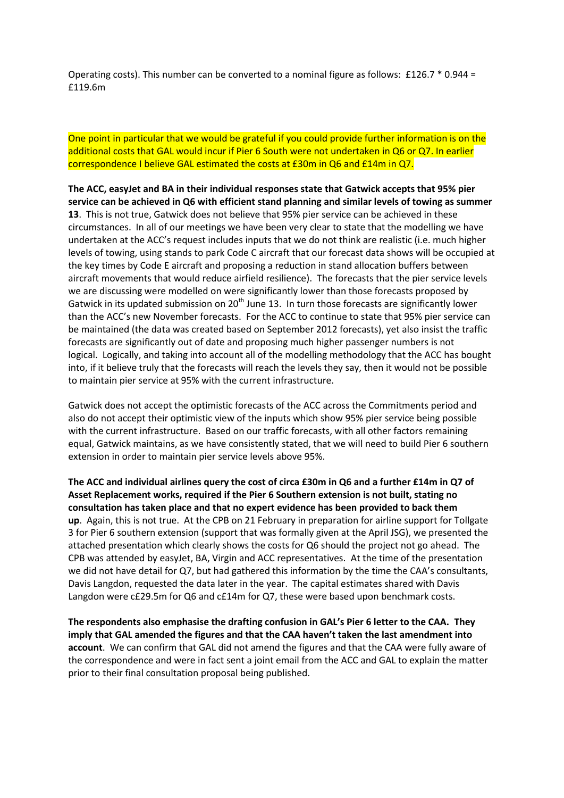Operating costs). This number can be converted to a nominal figure as follows: £126.7 \* 0.944 = £119.6m

One point in particular that we would be grateful if you could provide further information is on the additional costs that GAL would incur if Pier 6 South were not undertaken in Q6 or Q7. In earlier correspondence I believe GAL estimated the costs at £30m in Q6 and £14m in Q7.

**The ACC, easyJet and BA in their individual responses state that Gatwick accepts that 95% pier service can be achieved in Q6 with efficient stand planning and similar levels of towing as summer 13**. This is not true, Gatwick does not believe that 95% pier service can be achieved in these circumstances. In all of our meetings we have been very clear to state that the modelling we have undertaken at the ACC's request includes inputs that we do not think are realistic (i.e. much higher levels of towing, using stands to park Code C aircraft that our forecast data shows will be occupied at the key times by Code E aircraft and proposing a reduction in stand allocation buffers between aircraft movements that would reduce airfield resilience). The forecasts that the pier service levels we are discussing were modelled on were significantly lower than those forecasts proposed by Gatwick in its updated submission on  $20<sup>th</sup>$  June 13. In turn those forecasts are significantly lower than the ACC's new November forecasts. For the ACC to continue to state that 95% pier service can be maintained (the data was created based on September 2012 forecasts), yet also insist the traffic forecasts are significantly out of date and proposing much higher passenger numbers is not logical. Logically, and taking into account all of the modelling methodology that the ACC has bought into, if it believe truly that the forecasts will reach the levels they say, then it would not be possible to maintain pier service at 95% with the current infrastructure.

Gatwick does not accept the optimistic forecasts of the ACC across the Commitments period and also do not accept their optimistic view of the inputs which show 95% pier service being possible with the current infrastructure. Based on our traffic forecasts, with all other factors remaining equal, Gatwick maintains, as we have consistently stated, that we will need to build Pier 6 southern extension in order to maintain pier service levels above 95%.

**The ACC and individual airlines query the cost of circa £30m in Q6 and a further £14m in Q7 of Asset Replacement works, required if the Pier 6 Southern extension is not built, stating no consultation has taken place and that no expert evidence has been provided to back them up**. Again, this is not true. At the CPB on 21 February in preparation for airline support for Tollgate 3 for Pier 6 southern extension (support that was formally given at the April JSG), we presented the attached presentation which clearly shows the costs for Q6 should the project not go ahead. The CPB was attended by easyJet, BA, Virgin and ACC representatives. At the time of the presentation we did not have detail for Q7, but had gathered this information by the time the CAA's consultants, Davis Langdon, requested the data later in the year. The capital estimates shared with Davis Langdon were c£29.5m for Q6 and c£14m for Q7, these were based upon benchmark costs.

**The respondents also emphasise the drafting confusion in GAL's Pier 6 letter to the CAA. They imply that GAL amended the figures and that the CAA haven't taken the last amendment into account**. We can confirm that GAL did not amend the figures and that the CAA were fully aware of the correspondence and were in fact sent a joint email from the ACC and GAL to explain the matter prior to their final consultation proposal being published.